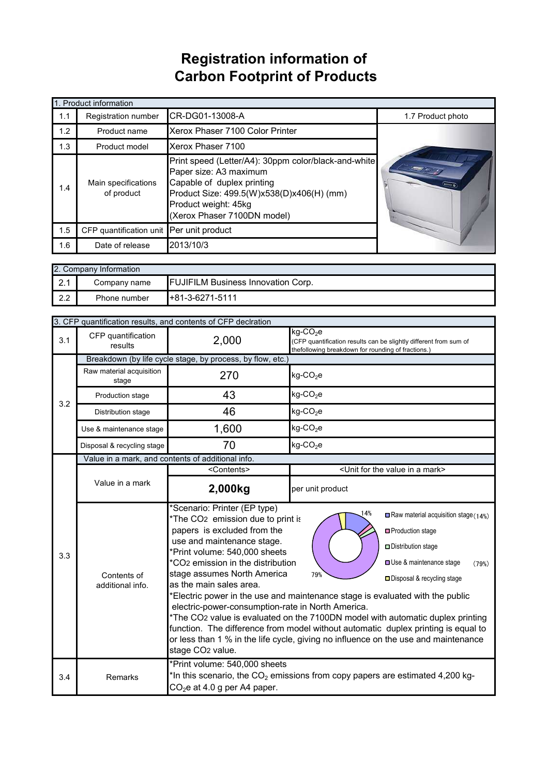## **Registration information of Carbon Footprint of Products**

|     | 1. Product information                   |                                                                                                                                                                                                                  |                   |
|-----|------------------------------------------|------------------------------------------------------------------------------------------------------------------------------------------------------------------------------------------------------------------|-------------------|
| 1.1 | Registration number                      | CR-DG01-13008-A                                                                                                                                                                                                  | 1.7 Product photo |
| 1.2 | Product name                             | Xerox Phaser 7100 Color Printer                                                                                                                                                                                  |                   |
| 1.3 | Product model                            | Xerox Phaser 7100                                                                                                                                                                                                |                   |
| 1.4 | Main specifications<br>of product        | Print speed (Letter/A4): 30ppm color/black-and-white<br>Paper size: A3 maximum<br>Capable of duplex printing<br>Product Size: 499.5(W)x538(D)x406(H) (mm)<br>Product weight: 45kg<br>(Xerox Phaser 7100DN model) | <b>MOVEMENT</b>   |
| 1.5 | CFP quantification unit Per unit product |                                                                                                                                                                                                                  |                   |
| 1.6 | Date of release                          | 2013/10/3                                                                                                                                                                                                        |                   |

|                  | 2. Company Information |              |                                           |  |  |
|------------------|------------------------|--------------|-------------------------------------------|--|--|
| $\Omega$<br>2. I |                        | Company name | <b>FUJIFILM Business Innovation Corp.</b> |  |  |
| 2.2              |                        | Phone number | $H+81-3-6271-5111$                        |  |  |

|     | 3. CFP quantification results, and contents of CFP declration |                                                                                                                                                                                                                                                                                                                                                                                                                                                                                                                                                                                                                                                                                                                                                                                                                                                                                         |                                                                                                                                                    |  |
|-----|---------------------------------------------------------------|-----------------------------------------------------------------------------------------------------------------------------------------------------------------------------------------------------------------------------------------------------------------------------------------------------------------------------------------------------------------------------------------------------------------------------------------------------------------------------------------------------------------------------------------------------------------------------------------------------------------------------------------------------------------------------------------------------------------------------------------------------------------------------------------------------------------------------------------------------------------------------------------|----------------------------------------------------------------------------------------------------------------------------------------------------|--|
| 3.1 | CFP quantification<br>results                                 | 2,000                                                                                                                                                                                                                                                                                                                                                                                                                                                                                                                                                                                                                                                                                                                                                                                                                                                                                   | $kg$ -CO <sub>2</sub> e<br>(CFP quantification results can be slightly different from sum of<br>thefollowing breakdown for rounding of fractions.) |  |
|     | Breakdown (by life cycle stage, by process, by flow, etc.)    |                                                                                                                                                                                                                                                                                                                                                                                                                                                                                                                                                                                                                                                                                                                                                                                                                                                                                         |                                                                                                                                                    |  |
| 3.2 | Raw material acquisition<br>stage                             | 270                                                                                                                                                                                                                                                                                                                                                                                                                                                                                                                                                                                                                                                                                                                                                                                                                                                                                     | $kg$ -CO <sub>2</sub> e                                                                                                                            |  |
|     | Production stage                                              | 43                                                                                                                                                                                                                                                                                                                                                                                                                                                                                                                                                                                                                                                                                                                                                                                                                                                                                      | $kg$ -CO <sub>2</sub> e                                                                                                                            |  |
|     | Distribution stage                                            | 46                                                                                                                                                                                                                                                                                                                                                                                                                                                                                                                                                                                                                                                                                                                                                                                                                                                                                      | $kg$ -CO <sub>2</sub> e                                                                                                                            |  |
|     | Use & maintenance stage                                       | 1,600                                                                                                                                                                                                                                                                                                                                                                                                                                                                                                                                                                                                                                                                                                                                                                                                                                                                                   | $kg$ -CO <sub>2</sub> e                                                                                                                            |  |
|     | Disposal & recycling stage                                    | 70                                                                                                                                                                                                                                                                                                                                                                                                                                                                                                                                                                                                                                                                                                                                                                                                                                                                                      | $kg$ -CO <sub>2</sub> e                                                                                                                            |  |
|     | Value in a mark, and contents of additional info.             |                                                                                                                                                                                                                                                                                                                                                                                                                                                                                                                                                                                                                                                                                                                                                                                                                                                                                         |                                                                                                                                                    |  |
|     |                                                               | <contents></contents>                                                                                                                                                                                                                                                                                                                                                                                                                                                                                                                                                                                                                                                                                                                                                                                                                                                                   | <unit a="" for="" in="" mark="" the="" value=""></unit>                                                                                            |  |
|     | Value in a mark                                               | 2,000kg                                                                                                                                                                                                                                                                                                                                                                                                                                                                                                                                                                                                                                                                                                                                                                                                                                                                                 | per unit product                                                                                                                                   |  |
| 3.3 | Contents of<br>additional info.                               | *Scenario: Printer (EP type)<br>4%<br>Raw material acquisition stage $(14%)$<br>*The CO <sub>2</sub> emission due to print is<br>papers is excluded from the<br>□ Production stage<br>use and maintenance stage.<br>Distribution stage<br>*Print volume: 540,000 sheets<br>*CO <sub>2</sub> emission in the distribution<br>Use & maintenance stage<br>stage assumes North America<br>79%<br>□ Disposal & recycling stage<br>as the main sales area.<br>*Electric power in the use and maintenance stage is evaluated with the public<br>electric-power-consumption-rate in North America.<br>*The CO2 value is evaluated on the 7100DN model with automatic duplex printing<br>function. The difference from model without automatic duplex printing is equal to<br>or less than 1 % in the life cycle, giving no influence on the use and maintenance<br>stage CO <sub>2</sub> value. |                                                                                                                                                    |  |
| 3.4 | Remarks                                                       | *Print volume: 540,000 sheets<br>*In this scenario, the CO <sub>2</sub> emissions from copy papers are estimated 4,200 kg-<br>$CO2e$ at 4.0 g per A4 paper.                                                                                                                                                                                                                                                                                                                                                                                                                                                                                                                                                                                                                                                                                                                             |                                                                                                                                                    |  |